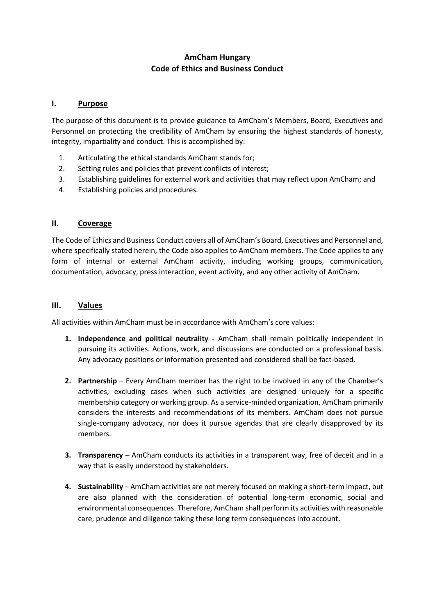# **AmCham Hungary Code of Ethics and Business Conduct**

#### **I. Purpose**

The purpose of this document is to provide guidance to AmCham's Members, Board, Executives and Personnel on protecting the credibility of AmCham by ensuring the highest standards of honesty, integrity, impartiality and conduct. This is accomplished by:

- 1. Articulating the ethical standards AmCham stands for;
- 2. Setting rules and policies that prevent conflicts of interest;
- 3. Establishing guidelines for external work and activities that may reflect upon AmCham; and
- 4. Establishing policies and procedures.

### **II. Coverage**

The Code of Ethics and Business Conduct covers all of AmCham's Board, Executives and Personnel and, where specifically stated herein, the Code also applies to AmCham members. The Code applies to any form of internal or external AmCham activity, including working groups, communication, documentation, advocacy, press interaction, event activity, and any other activity of AmCham.

#### **III. Values**

All activities within AmCham must be in accordance with AmCham's core values:

- **1. Independence and political neutrality -** AmCham shall remain politically independent in pursuing its activities. Actions, work, and discussions are conducted on a professional basis. Any advocacy positions or information presented and considered shall be fact-based.
- **2. Partnership** Every AmCham member has the right to be involved in any of the Chamber's activities, excluding cases when such activities are designed uniquely for a specific membership category or working group. As a service-minded organization, AmCham primarily considers the interests and recommendations of its members. AmCham does not pursue single-company advocacy, nor does it pursue agendas that are clearly disapproved by its members.
- **3. Transparency** AmCham conducts its activities in a transparent way, free of deceit and in a way that is easily understood by stakeholders.
- **4. Sustainability** AmCham activities are not merely focused on making a short-term impact, but are also planned with the consideration of potential long-term economic, social and environmental consequences. Therefore, AmCham shall perform its activities with reasonable care, prudence and diligence taking these long term consequences into account.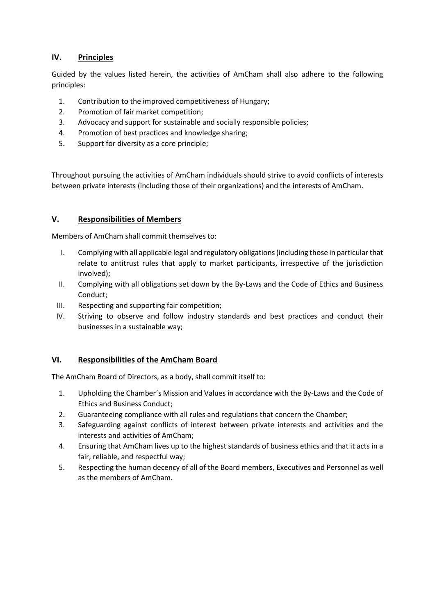# **IV. Principles**

Guided by the values listed herein, the activities of AmCham shall also adhere to the following principles:

- 1. Contribution to the improved competitiveness of Hungary;
- 2. Promotion of fair market competition;
- 3. Advocacy and support for sustainable and socially responsible policies;
- 4. Promotion of best practices and knowledge sharing;
- 5. Support for diversity as a core principle;

Throughout pursuing the activities of AmCham individuals should strive to avoid conflicts of interests between private interests (including those of their organizations) and the interests of AmCham.

# **V. Responsibilities of Members**

Members of AmCham shall commit themselves to:

- I. Complying with all applicable legal and regulatory obligations(including those in particular that relate to antitrust rules that apply to market participants, irrespective of the jurisdiction involved);
- II. Complying with all obligations set down by the By-Laws and the Code of Ethics and Business Conduct;
- III. Respecting and supporting fair competition;
- IV. Striving to observe and follow industry standards and best practices and conduct their businesses in a sustainable way;

### **VI. Responsibilities of the AmCham Board**

The AmCham Board of Directors, as a body, shall commit itself to:

- 1. Upholding the Chamber´s Mission and Values in accordance with the By-Laws and the Code of Ethics and Business Conduct;
- 2. Guaranteeing compliance with all rules and regulations that concern the Chamber;
- 3. Safeguarding against conflicts of interest between private interests and activities and the interests and activities of AmCham;
- 4. Ensuring that AmCham lives up to the highest standards of business ethics and that it acts in a fair, reliable, and respectful way;
- 5. Respecting the human decency of all of the Board members, Executives and Personnel as well as the members of AmCham.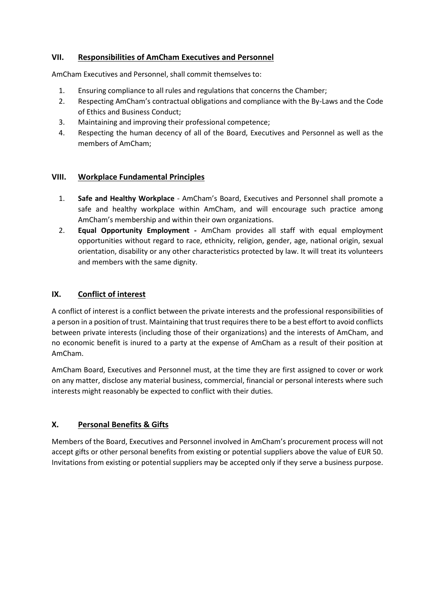# **VII. Responsibilities of AmCham Executives and Personnel**

AmCham Executives and Personnel, shall commit themselves to:

- 1. Ensuring compliance to all rules and regulations that concerns the Chamber;
- 2. Respecting AmCham's contractual obligations and compliance with the By-Laws and the Code of Ethics and Business Conduct;
- 3. Maintaining and improving their professional competence;
- 4. Respecting the human decency of all of the Board, Executives and Personnel as well as the members of AmCham;

### **VIII. Workplace Fundamental Principles**

- 1. **Safe and Healthy Workplace** AmCham's Board, Executives and Personnel shall promote a safe and healthy workplace within AmCham, and will encourage such practice among AmCham's membership and within their own organizations.
- 2. **Equal Opportunity Employment -** AmCham provides all staff with equal employment opportunities without regard to race, ethnicity, religion, gender, age, national origin, sexual orientation, disability or any other characteristics protected by law. It will treat its volunteers and members with the same dignity.

# **IX. Conflict of interest**

A conflict of interest is a conflict between the private interests and the professional responsibilities of a person in a position of trust. Maintaining that trust requires there to be a best effort to avoid conflicts between private interests (including those of their organizations) and the interests of AmCham, and no economic benefit is inured to a party at the expense of AmCham as a result of their position at AmCham.

AmCham Board, Executives and Personnel must, at the time they are first assigned to cover or work on any matter, disclose any material business, commercial, financial or personal interests where such interests might reasonably be expected to conflict with their duties.

# **X. Personal Benefits & Gifts**

Members of the Board, Executives and Personnel involved in AmCham's procurement process will not accept gifts or other personal benefits from existing or potential suppliers above the value of EUR 50. Invitations from existing or potential suppliers may be accepted only if they serve a business purpose.